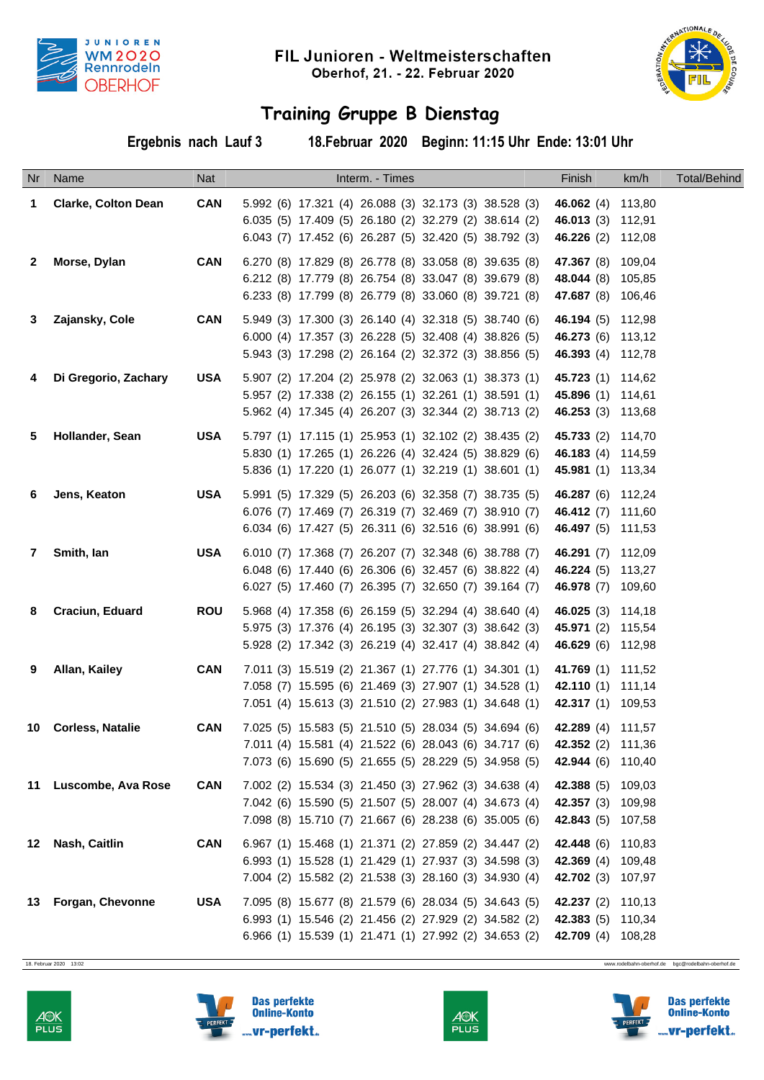



## **Training Gruppe B Dienstag**

**Ergebnis nach Lauf 3 18.Februar 2020 Beginn: 11:15 Uhr Ende: 13:01 Uhr**

|                 | Nr Name                    | <b>Nat</b> | Interm. - Times                                                                                                                                                         | Finish                                                                           | km/h | <b>Total/Behind</b> |
|-----------------|----------------------------|------------|-------------------------------------------------------------------------------------------------------------------------------------------------------------------------|----------------------------------------------------------------------------------|------|---------------------|
| -1              | <b>Clarke, Colton Dean</b> | <b>CAN</b> | 5.992 (6) 17.321 (4) 26.088 (3) 32.173 (3) 38.528 (3)<br>6.035 (5) 17.409 (5) 26.180 (2) 32.279 (2) 38.614 (2)<br>6.043 (7) 17.452 (6) 26.287 (5) 32.420 (5) 38.792 (3) | 46.062 (4) 113,80<br>46.013 (3) 112,91<br>46.226 (2) 112,08                      |      |                     |
| $\mathbf{2}$    | Morse, Dylan               | <b>CAN</b> | 6.270 (8) 17.829 (8) 26.778 (8) 33.058 (8) 39.635 (8)<br>6.212 (8) 17.779 (8) 26.754 (8) 33.047 (8) 39.679 (8)<br>6.233 (8) 17.799 (8) 26.779 (8) 33.060 (8) 39.721 (8) | <b>47.367</b> (8) 109,04<br><b>48.044</b> (8) 105,85<br><b>47.687</b> (8) 106,46 |      |                     |
| 3               | Zajansky, Cole             | <b>CAN</b> | 5.949 (3) 17.300 (3) 26.140 (4) 32.318 (5) 38.740 (6)<br>6.000 (4) 17.357 (3) 26.228 (5) 32.408 (4) 38.826 (5)<br>5.943 (3) 17.298 (2) 26.164 (2) 32.372 (3) 38.856 (5) | 46.194 (5) 112,98<br>46.273 (6) 113,12<br>46.393 (4) 112,78                      |      |                     |
| 4               | Di Gregorio, Zachary       | <b>USA</b> | 5.907 (2) 17.204 (2) 25.978 (2) 32.063 (1) 38.373 (1)<br>5.957 (2) 17.338 (2) 26.155 (1) 32.261 (1) 38.591 (1)<br>5.962 (4) 17.345 (4) 26.207 (3) 32.344 (2) 38.713 (2) | 45.723 (1) 114,62<br>45.896 (1) 114,61<br>46.253 (3) 113,68                      |      |                     |
| 5               | Hollander, Sean            | <b>USA</b> | 5.797 (1) 17.115 (1) 25.953 (1) 32.102 (2) 38.435 (2)<br>5.830 (1) 17.265 (1) 26.226 (4) 32.424 (5) 38.829 (6)<br>5.836 (1) 17.220 (1) 26.077 (1) 32.219 (1) 38.601 (1) | 45.733 (2) 114,70<br>46.183 (4) 114,59<br>45.981 (1) 113,34                      |      |                     |
| 6               | Jens, Keaton               | <b>USA</b> | 5.991 (5) 17.329 (5) 26.203 (6) 32.358 (7) 38.735 (5)<br>6.076 (7) 17.469 (7) 26.319 (7) 32.469 (7) 38.910 (7)<br>6.034 (6) 17.427 (5) 26.311 (6) 32.516 (6) 38.991 (6) | 46.287 (6) 112,24<br>46.412 (7) 111,60<br>46.497 (5) 111,53                      |      |                     |
| $7\phantom{.0}$ | Smith, lan                 | <b>USA</b> | 6.010 (7) 17.368 (7) 26.207 (7) 32.348 (6) 38.788 (7)<br>6.048 (6) 17.440 (6) 26.306 (6) 32.457 (6) 38.822 (4)<br>6.027 (5) 17.460 (7) 26.395 (7) 32.650 (7) 39.164 (7) | 46.291 (7) 112,09<br>46.224 (5) 113,27<br>46.978 (7) 109,60                      |      |                     |
| 8               | Craciun, Eduard            | <b>ROU</b> | 5.968 (4) 17.358 (6) 26.159 (5) 32.294 (4) 38.640 (4)<br>5.975 (3) 17.376 (4) 26.195 (3) 32.307 (3) 38.642 (3)<br>5.928 (2) 17.342 (3) 26.219 (4) 32.417 (4) 38.842 (4) | 46.025 (3) 114,18<br>45.971 (2) 115,54<br>46.629 (6) 112,98                      |      |                     |
| 9               | Allan, Kailey              | <b>CAN</b> | 7.011 (3) 15.519 (2) 21.367 (1) 27.776 (1) 34.301 (1)<br>7.058 (7) 15.595 (6) 21.469 (3) 27.907 (1) 34.528 (1)<br>7.051 (4) 15.613 (3) 21.510 (2) 27.983 (1) 34.648 (1) | 41.769 (1) 111,52<br>42.110 (1) 111,14<br>42.317 (1) 109,53                      |      |                     |
|                 | 10 Corless, Natalie        | <b>CAN</b> | 7.025 (5) 15.583 (5) 21.510 (5) 28.034 (5) 34.694 (6)<br>7.011 (4) 15.581 (4) 21.522 (6) 28.043 (6) 34.717 (6)<br>7.073 (6) 15.690 (5) 21.655 (5) 28.229 (5) 34.958 (5) | 42.289 (4) 111,57<br>42.352 (2) 111,36<br>42.944 (6) 110,40                      |      |                     |
|                 | 11 Luscombe, Ava Rose      | <b>CAN</b> | 7.002 (2) 15.534 (3) 21.450 (3) 27.962 (3) 34.638 (4)<br>7.042 (6) 15.590 (5) 21.507 (5) 28.007 (4) 34.673 (4)<br>7.098 (8) 15.710 (7) 21.667 (6) 28.238 (6) 35.005 (6) | 42.388 (5) 109,03<br>42.357 (3) 109,98<br>42.843 (5) 107,58                      |      |                     |
|                 | 12 Nash, Caitlin           | <b>CAN</b> | 6.967 (1) 15.468 (1) 21.371 (2) 27.859 (2) 34.447 (2)<br>6.993 (1) 15.528 (1) 21.429 (1) 27.937 (3) 34.598 (3)<br>7.004 (2) 15.582 (2) 21.538 (3) 28.160 (3) 34.930 (4) | 42.448 (6) 110,83<br>42.369 (4) 109,48<br>42.702 (3) 107,97                      |      |                     |
|                 | 13 Forgan, Chevonne        | <b>USA</b> | 7.095 (8) 15.677 (8) 21.579 (6) 28.034 (5) 34.643 (5)<br>6.993 (1) 15.546 (2) 21.456 (2) 27.929 (2) 34.582 (2)<br>6.966 (1) 15.539 (1) 21.471 (1) 27.992 (2) 34.653 (2) | 42.237 (2) 110,13<br>42.383 (5) 110,34<br>42.709 (4) 108,28                      |      |                     |

18. Februar 2020 13:02 www.rodelbahn-oberhof.de bgc@rodelbahn-oberhof.de